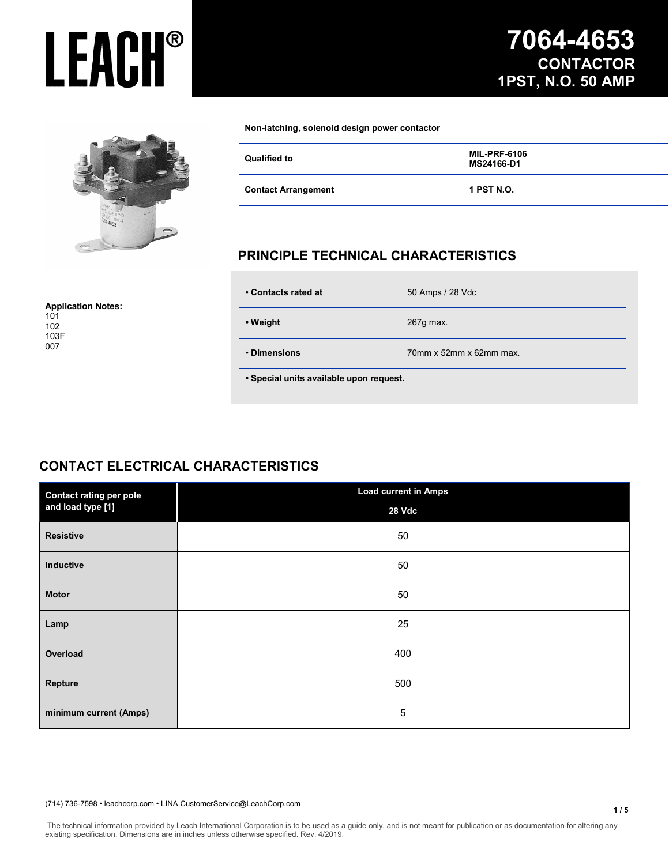

**Application Notes:**

#### **Non-latching, solenoid design power contactor**

| Qualified to               | <b>MIL-PRF-6106</b><br>MS24166-D1 |
|----------------------------|-----------------------------------|
| <b>Contact Arrangement</b> | 1 PST N.O.                        |

#### **PRINCIPLE TECHNICAL CHARACTERISTICS**

| • Contacts rated at                     | 50 Amps / 28 Vdc        |  |
|-----------------------------------------|-------------------------|--|
| • Weight                                | 267g max.               |  |
| • Dimensions                            | 70mm x 52mm x 62mm max. |  |
| · Special units available upon request. |                         |  |

#### **CONTACT ELECTRICAL CHARACTERISTICS**

| <b>Contact rating per pole</b><br>and load type [1] | <b>Load current in Amps</b> |  |
|-----------------------------------------------------|-----------------------------|--|
|                                                     | 28 Vdc                      |  |
| <b>Resistive</b>                                    | 50                          |  |
| Inductive                                           | 50                          |  |
| <b>Motor</b>                                        | 50                          |  |
| Lamp                                                | 25                          |  |
| Overload                                            | 400                         |  |
| Repture                                             | 500                         |  |
| minimum current (Amps)                              | 5                           |  |

#### (714) 736-7598 • leachcorp.com • LINA.CustomerService@LeachCorp.com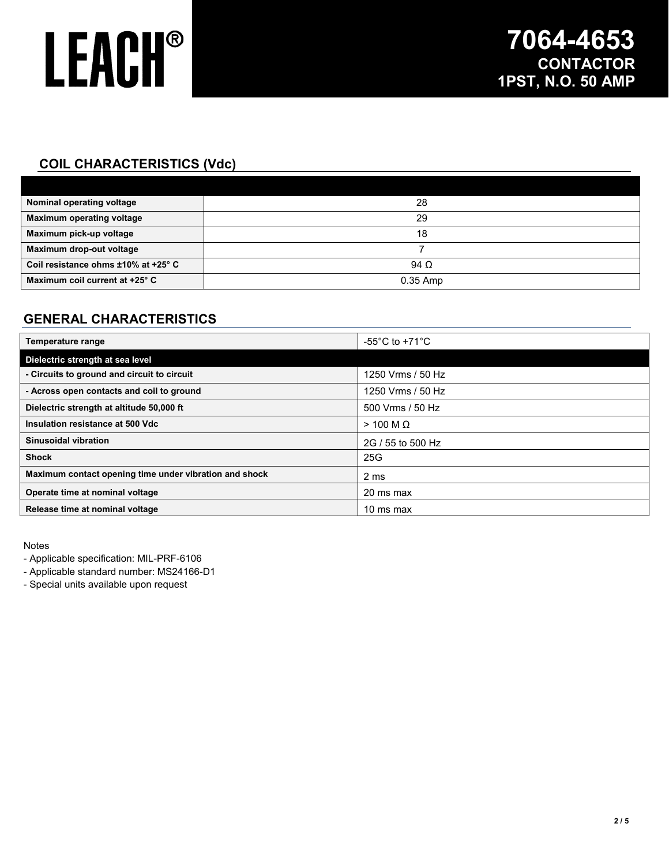### **COIL CHARACTERISTICS (Vdc)**

| Nominal operating voltage           | 28          |
|-------------------------------------|-------------|
| <b>Maximum operating voltage</b>    | 29          |
| Maximum pick-up voltage             | 18          |
| Maximum drop-out voltage            |             |
| Coil resistance ohms ±10% at +25° C | 94 $\Omega$ |
| Maximum coil current at +25° C      | $0.35$ Amp  |

### **GENERAL CHARACTERISTICS**

| Temperature range                                      | -55 $^{\circ}$ C to +71 $^{\circ}$ C |
|--------------------------------------------------------|--------------------------------------|
| Dielectric strength at sea level                       |                                      |
| - Circuits to ground and circuit to circuit            | 1250 Vrms / 50 Hz                    |
| - Across open contacts and coil to ground              | 1250 Vrms / 50 Hz                    |
| Dielectric strength at altitude 50,000 ft              | 500 Vrms / 50 Hz                     |
| Insulation resistance at 500 Vdc                       | $>$ 100 M $\Omega$                   |
| Sinusoidal vibration                                   | 2G / 55 to 500 Hz                    |
| <b>Shock</b>                                           | 25G                                  |
| Maximum contact opening time under vibration and shock | 2 ms                                 |
| Operate time at nominal voltage                        | 20 ms max                            |
| Release time at nominal voltage                        | 10 ms max                            |

Notes

- Applicable specification: MIL-PRF-6106

- Applicable standard number: MS24166-D1

- Special units available upon request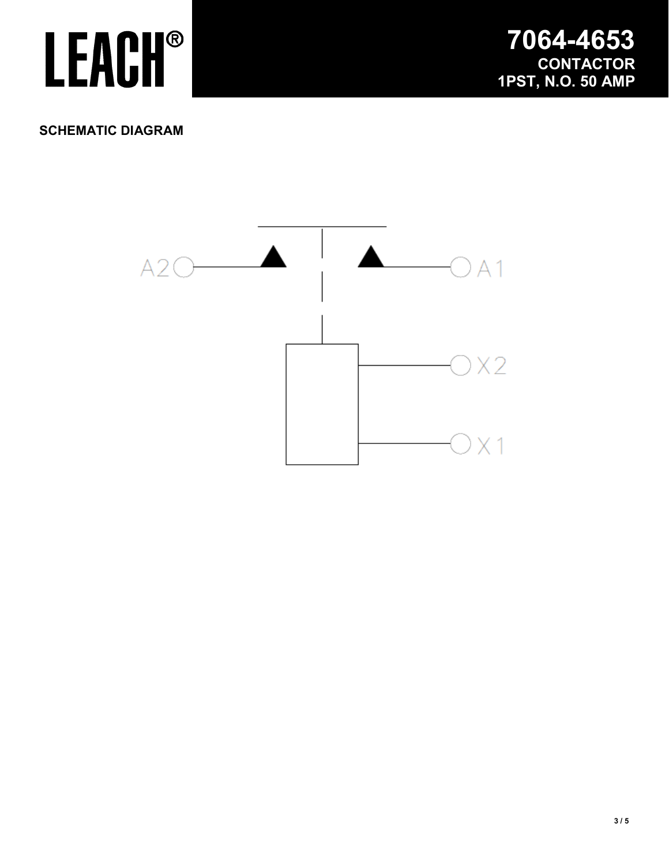

#### **SCHEMATIC DIAGRAM**

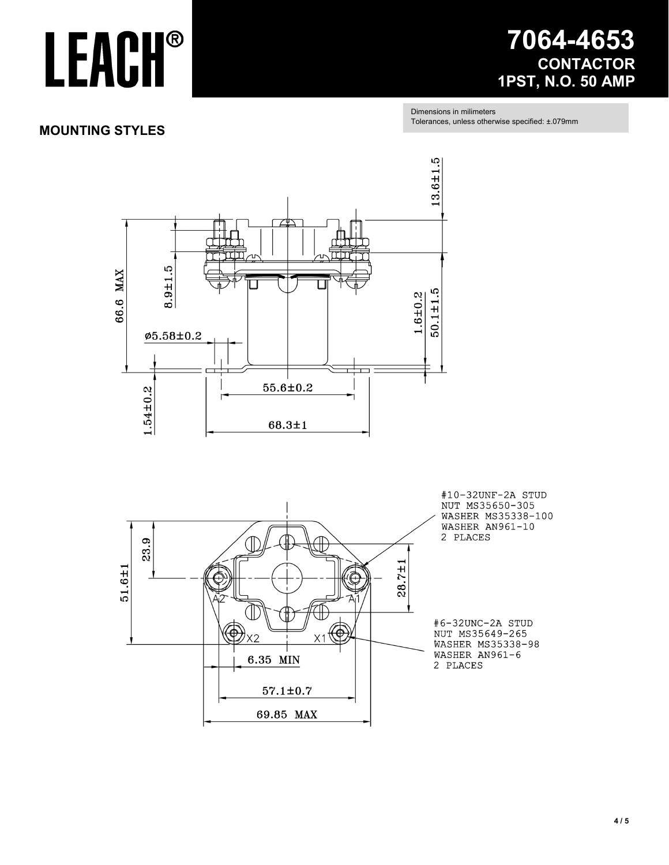### **7064-4653 CONTACTOR 1PST, N.O. 50 AMP**

Dimensions in milimeters Tolerances, unless otherwise specified: ±.079mm

#### **MOUNTING STYLES**